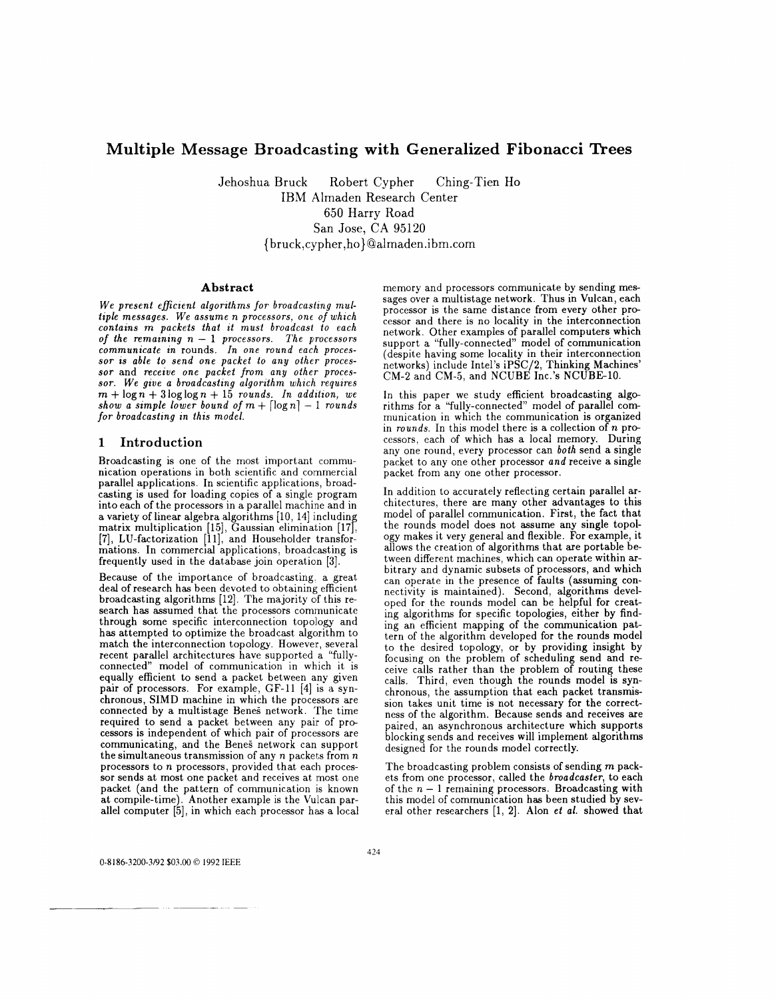# **Multiple Message Broadcasting with Generalized Fibonacci Trees**

Jehoshua Bruck Robert Cypher Ching-Tien Ho IBM Almaden Research Center 650 Harry Road San Jose, CA 95120 {bruck,cypher,ho}@almaden.ibm.com

#### **Abstract**

*We present efficient algorithms for broadcasting multiple messages. We assume n processors, one of which contains* m *packets that it must broadcast to each of the remaining n* - 1 *processors. The processors communicate in* rounds. *In one round each processor is able to send one packet to any other processor* and *receive one packet from any other processor. We give a broadcasting algorithm which requires*  $m + \log n + 3\log\log n + 15$  *rounds.* In addition, we  $\frac{1}{2}$  *show a* simple lower bound of  $m + \lceil \log n \rceil - 1$  rounds *for broadcasting in this model.*

#### **1 Introduction**

Broadcasting is one of the most important communication operations in both scientific and commercial parallel applications. In scientific applications, broadcasting is used for loading copies of a single program into each of the processors in a parallel machine and in a variety of linear algebra algorithms [10, 14] including matrix multiplication [15], Gaussian elimination [17J, [7], LU-factorization [11], and Householder transformations. In commercial applications, broadcasting is frequently used in the database join operation [3].

Because of the importance of broadcasting, a great deal of research has been devoted to obtaining efficient broadcasting algorithms [12]. The majority of this research has assumed that the processors communicate through some specific interconnection topology and has attempted to optimize the broadcast algorithm to match the interconnection topology. However, several recent parallel architectures have supported a "fullyconnected" model of communication in which it is equally efficient to send a packet between any given pair of processors. For example, GF-11 [4] is a synchronous, SIMD machine in which the processors are connected by a multistage Benes network. The time required to send a packet between any pair of processors is independent of which pair of processors are communicating, and the Benes network can support the simultaneous transmission of any *n* packets from *n* processors to *n* processors, provided that each processor sends at most one packet and receives at most one packet (and the pattern of communication is known at compile-time). Another example is the Vulcan parallel computer [5], in which each processor has a local

memory and processors communicate by sending messages over a multistage network. Thus in Vulcan, each processor is the same distance from every other processor and there is no locality in the interconnection network. Other examples of parallel computers which support a "fully-connected" model of communication (despite having some locality in their interconnection networks) include Intel's iPSC/2, Thinking Machines'  $CM-2$  and  $CM-5$ , and  $NCUBE$  Inc.'s  $NCUBE-10$ .

In this paper we study efficient broadcasting algorithms for a ''fully-connected'' model of parallel communication in which the communication is organized in *rounds.* In this model there is a collection of *n* processors, each of which has a local memory. During anyone round, every processor can *both* send a single packet to anyone other processor *and* receive a single packet from anyone other processor.

In addition to accurately reflecting certain parallel architectures, there are many other advantages to this model of parallel communication. First, the fact that the rounds model does not assume any single topology makes it very general and flexible. For example, it allows the creation of algorithms that are portable between different machines, which can operate within arbitrary and dynamic subsets of processors, and which can operate in the presence of faults (assuming concan operate in the presence of factor (and faults of conoped for the rounds model can be helpful for creating algorithms for specific topologies, either by finding an efficient mapping of the communication pattern of the algorithm developed for the rounds model to the desired topology, or by providing insight by focusing on the problem of scheduling send and receive calls rather than the problem of routing these calls. Third, even though the rounds model is synchronous, the assumption that each packet transmission takes unit time is not necessary for the correctness of the algorithm. Because sends and receives are paired, an asynchronous architecture which supports blocking sends and receives will implement algorithms designed for the rounds model correctly.

The broadcasting problem consists of sending  $m$  packets from one processor, called the *broadcaster,* to each of the *n* - 1 remaining processors. Broadcasting with this model of communication has been studied by several other researchers [1, 2]. Alon *et al.* showed that

0-8186-3200-3/92 \$03.00 © 1992 IEEE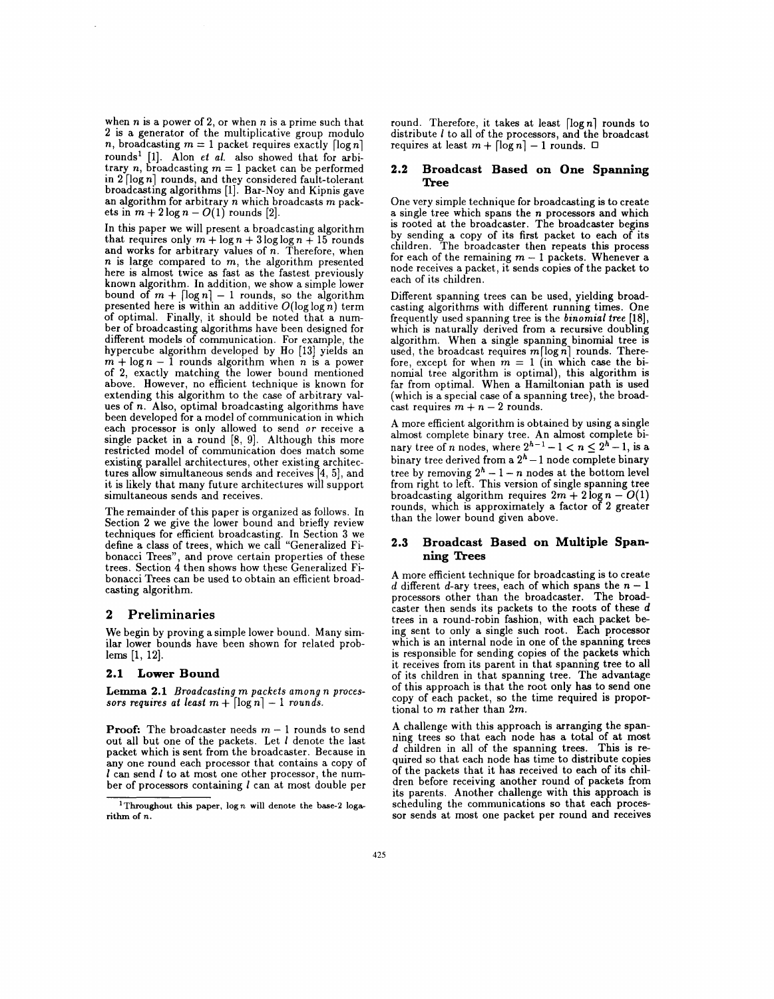when *n* is a power of 2, or when *n* is a prime such that 2 is a generator of the multiplicative group modulo *n*, broadcasting  $m = 1$  packet requires exactly  $\lceil \log n \rceil$ rounds<sup>1</sup> [1]. Alon *et al.* also showed that for arbitrary *n*, broadcasting  $m = 1$  packet can be performed in 2 [log *n*] rounds, and they considered fault-tolerant broadcasting algorithms [1]. Bar-Noy and Kipnis gave an algorithm for arbitrary *n* which broadcasts m packets in  $m+2\log n - O(1)$  rounds [2].

In this paper we will present a broadcasting algorithm that requires only  $m + \log n + 3\log \log n + 15$  rounds and works for arbitrary values of *n.* Therefore, when *n* is large compared to m, the algorithm presented here is almost twice as fast as the fastest previously known algorithm. In addition, we show a simple lower bound of  $m + \lceil \log n \rceil - 1$  rounds, so the algorithm presented here is within an additive  $O(\log \log n)$  term of optimal. Finally, it should be noted that a numof optimal. Finally, it should be noted that <sup>a</sup> num- ber of broadcasting algorithms have been designed for different models of communication. For example, the hypercube algorithm developed by Ho [13] yields an  $m + \log n - 1$  rounds algorithm when *n* is a power of 2, exactly matching the lower bound mentioned above. However, no efficient technique is known for extending this algorithm to the case of arbitrary values of *n*. Also, optimal broadcasting algorithms have been developed for a model of communication in which each processor is only allowed to send *or* receive a single packet in <sup>a</sup> round [8, 9]. Although this more restricted model of communication does match some existing parallel architectures, other existing architectures allow simultaneous sends and receives l4, 5], and it is likely that many future architectures will support simultaneous sends and receives.

The remainder of this paper is organized as follows. In Section 2 we give the lower bound and briefly review techniques for efficient broadcasting. In Section 3 we define a class of trees, which we call "Generalized Fibonacci Trees", and prove certain properties of these trees. Section 4 then shows how these Generalized Fibonacci Trees can be used to obtain an efficient broadcasting algorithm.

#### 2 Preliminaries

We begin by proving a simple lower bound. Many similar lower bounds have been shown for related problems [1, 12].

### 2.1 Lower Bound

Lemma 2.1 *Broadcasting* m *packets among n processors requires* at least  $m + \lceil \log n \rceil - 1$  *rounds.* 

**Proof:** The broadcaster needs  $m-1$  rounds to send out all but one of the packets. Let I denote the last packet which is sent from the broadcaster. Because in anyone round each processor that contains a copy of  $l$  can send  $l$  to at most one other processor, the number of processors containing I can at most double per round. Therefore, it takes at least  $\lceil \log n \rceil$  rounds to distribute *l* to all of the processors, and the broadcast requires at least  $m + \lceil \log n \rceil - 1$  rounds.  $\Box$ 

#### 2.2 Broadcast Based on One Spanning Tree

One very simple technique for broadcasting is to create a single tree which spans the *n* processors and which is rooted at the broadcaster. The broadcaster begins by sending a copy of its first packet to each of its children. The broadcaster then repeats this process for each of the remaining  $m - 1$  packets. Whenever a node receives a packet, it sends copies of the packet to each of its children.

Different spanning trees can be used, yielding broadcasting algorithms with different running times. One frequently used spanning tree is the *binomial tree [18],* which is naturally derived from a recursive doubling algorithm. When a single spanning binomial tree is<br>used, the broadcast requires m[log n] rounds. Therefore, except for when  $m = 1$  (in which case the binomial tree algorithm is optimal), this algorithm is far from optimal. When a Hamiltonian path is used (which is a special case of a spanning tree), the broadcast requires  $m + n - 2$  rounds.

A more efficient algorithm is obtained by using a single almost complete binary tree. An almost complete binary tree of *n* nodes, where  $2^{h-1} - 1 < n \le 2^h - 1$ , is a binary tree derived from a  $2^h - 1$  node complete binary tree by removing  $2^h - 1 - n$  nodes at the bottom level from right to left. This version of single spanning tree broadcasting algorithm requires  $2m + 2 \log n - O(1)$ rounds, which is approximately a factor of 2 greater than the lower bound given above.

### 2.3 Broadcast Based on Multiple Spanning Trees

A more efficient technique for broadcasting is to create *d* different *d*-ary trees, each of which spans the  $n-1$ processors other than the broadcaster. The broadcaster then sends its packets to the roots of these *d* trees in a round-robin fashion, with each packet being sent to only a single such root. Each processor which is an internal node in one of the spanning trees is responsible for sending copies of the packets which it receives from its parent in that spanning tree to all of its children in that spanning tree. The advantage copy of each packet, so the time required is proportional to m rather than *2m.*

A challenge with this approach is arranging the spanning trees so that each node has a total of at most d children in all of the spanning trees. This is required so that each node has time to distribute copies of the packets that it has received to each of its children before receiving another round of packets from its parents. Another challenge with this approach is scheduling the communications so that each processor sends at most one packet per round and receives

<sup>&</sup>lt;sup>1</sup>Throughout this paper,  $log n$  will denote the base-2  $log a$ rithm of *n*.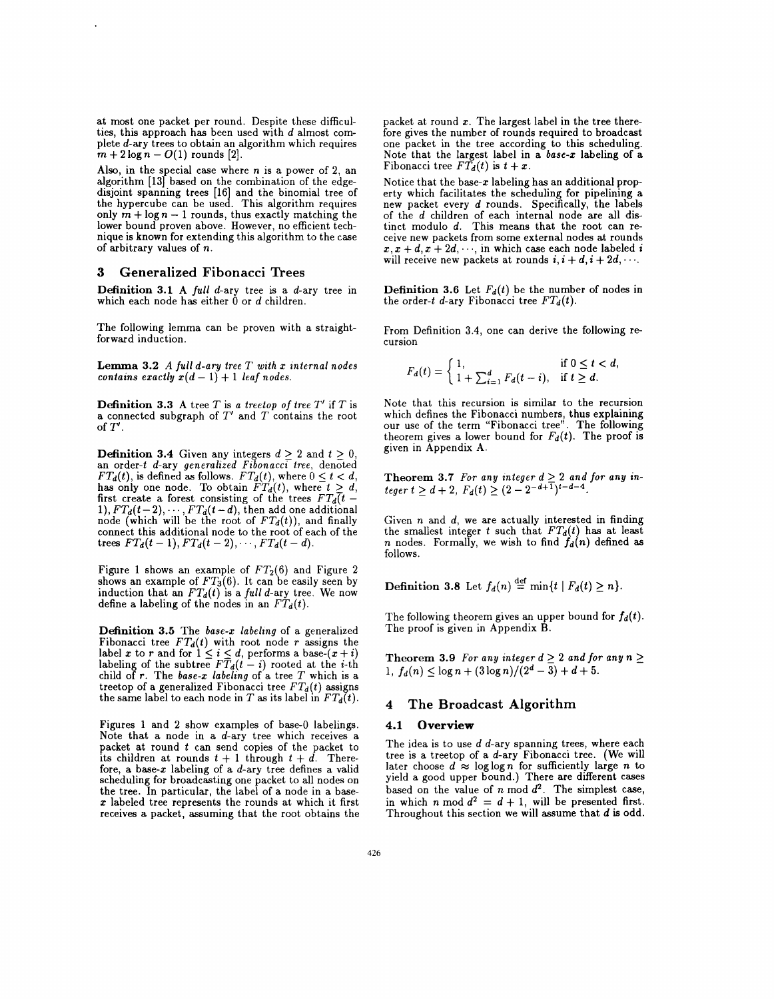at most one packet per round. Despite these difficulties, this approach has been used with  $d$  almost complete *d*-ary trees to obtain an algorithm which requires  $m + 2 \log n - O(1)$  rounds [2].

Also, in the special case where *n* is a power of 2, an algorithm [13] based on the combination of the edgedisjoint spanning trees [16] and the binomial tree of the hypercube can be used. This algorithm requires only  $m + \log n - 1$  rounds, thus exactly matching the lower bound proven above. However, no efficient technique is known for extending this algorithm to the case of arbitrary values of n.

#### 3 Generalized Fibonacci Trees

Definition 3.1 A *full* d-ary tree is a d-ary tree in which each node has either 0 or d children.

The following lemma can be proven with a straightforward induction.

Lemma 3.2 *A full d-ary tree T with x internal nodes contains exactly*  $x(d-1) + 1$  *leaf nodes.* 

**Definition 3.3** A tree  $T$  is a treetop of tree  $T'$  if  $T$  is a connected subgraph of *T'* and *T* contains the root of  $T'$ .

**Definition 3.4** Given any integers  $d \geq 2$  and  $t \geq 0$ , an order-t d-ary *generalized Fibonacci tree*, denoted  $FT_d(t)$ , is defined as follows.  $FT_d(t)$ , where  $0 \leq t < d,$ has only one node. To obtain  $FT_d(t)$ , where  $t > d$ ,<br>first create a forest consisting of the trees  $FT_d(t -$ 1),  $FT_d(t-2), \cdots, FT_d(t-d)$ , then add one additional node (which will be the root of  $FT_d(t)$ ), and finally connect this additional node to the root of each of the trees  $FT_d(t-1), FT_d(t-2), \cdots, FT_d(t-d)$ .

Figure 1 shows an example of  $FT_2(6)$  and Figure 2 shows an example of  $FT_3(6)$ . It can be easily seen by induction that an  $FT_d(t)$  is a *full* d-ary tree. We now define a labeling of the nodes in an  $FT_d(t)$ .

Definition 3.5 The *base-x labeling* of a generalized Fibonacci tree  $FT_d(t)$  with root node r assigns the label x to r and for  $1 \le i \le d$ , performs a base- $(x + i)$ labeling of the subtree  $FT_d(t-i)$  rooted at the *i*-th child of r. The *base-x labeling* of a tree *T* which is a treetop of a generalized Fibonacci tree  $FT_d(t)$  assigns the same label to each node in  $T$  as its label in  $FT_d(t)$ .

Figures 1 and 2 show examples of base-O labelings. Note that a node in a  $d$ -ary tree which receives a packet at round  $t$  can send copies of the packet to its children at rounds  $t + 1$  through  $t + d$ . Therefore, a base- $x$  labeling of a  $d$ -ary tree defines a valid scheduling for broadcasting one packet to all nodes on the tree. In particular, the label of <sup>a</sup> node in <sup>a</sup> base- *<sup>x</sup>* labeled tree represents the rounds at which it first receives a packet, assuming that the root obtains the packet at round *x.* The largest label in the tree therefore gives the number of rounds required to broadcast one packet in the tree according to this scheduling. Note that the largest label in a *base-x* labeling of a Fibonacci tree  $FT_d(t)$  is  $t + x$ .

Notice that the base-x labeling has an additional property which facilitates the scheduling for pipelining <sup>a</sup> new packet every <sup>d</sup> rounds. Specifically, the labels of the d children of each internal node are all distinct modulo d. This means that the root can receive new packets from some external nodes at rounds  $x, x + d, x + 2d, \dots$ , in which case each node labeled *i* will receive new packets at rounds  $i, i + d, i + 2d, \cdots$ .

**Definition 3.6** Let  $F_d(t)$  be the number of nodes in the order-t d-ary Fibonacci tree  $FT<sub>d</sub>(t)$ .

From Definition 3.4, one can derive the following recursion

$$
F_d(t) = \begin{cases} 1, & \text{if } 0 \le t < d, \\ 1 + \sum_{i=1}^d F_d(t-i), & \text{if } t \ge d. \end{cases}
$$

Note that this recursion is similar to the recursion which defines the Fibonacci numbers, thus explaining our use of the term "Fibonacci tree". The following theorem gives a lower bound for  $F_d(t)$ . The proof is given in Appendix A.

**Theorem 3.7** *For any integer*  $d \ge 2$  *and for any integer*  $t \ge d + 2$ ,  $F_d(t) \ge (2 - 2^{-d+1})^{t-d-4}$ .

Given  $n$  and  $d$ , we are actually interested in finding the smallest integer  $t$  such that  $FT_d(t)$  has at least *n* nodes. Formally, we wish to find  $f_d(n)$  defined as follows.

**Definition 3.8** Let  $f_d(n) \stackrel{\text{def}}{=} \min\{t \mid F_d(t) \geq n\}.$ 

The following theorem gives an upper bound for  $f_d(t)$ . The proof is given in Appendix B.

**Theorem 3.9** *For any integer*  $d \geq 2$  *and for any*  $n \geq$ 1,  $f_d(n) < \log n + (3\log n)/(2^d - 3) + d + 5.$ 

# 4 The Broadcast Algorithm

#### 4.1 Overview

The idea is to use  $d$   $d$ -ary spanning trees, where each tree is a treetop of a d-ary Fibonacci tree. (We will later choose  $d \approx \log \log n$  for sufficiently large *n* to yield a good upper bound.) There are different cases based on the value of  $n \mod d^2$ . The simplest case, in which *n* mod  $d^2 = d + 1$ , will be presented first. Throughout this section we will assume that *d* is odd.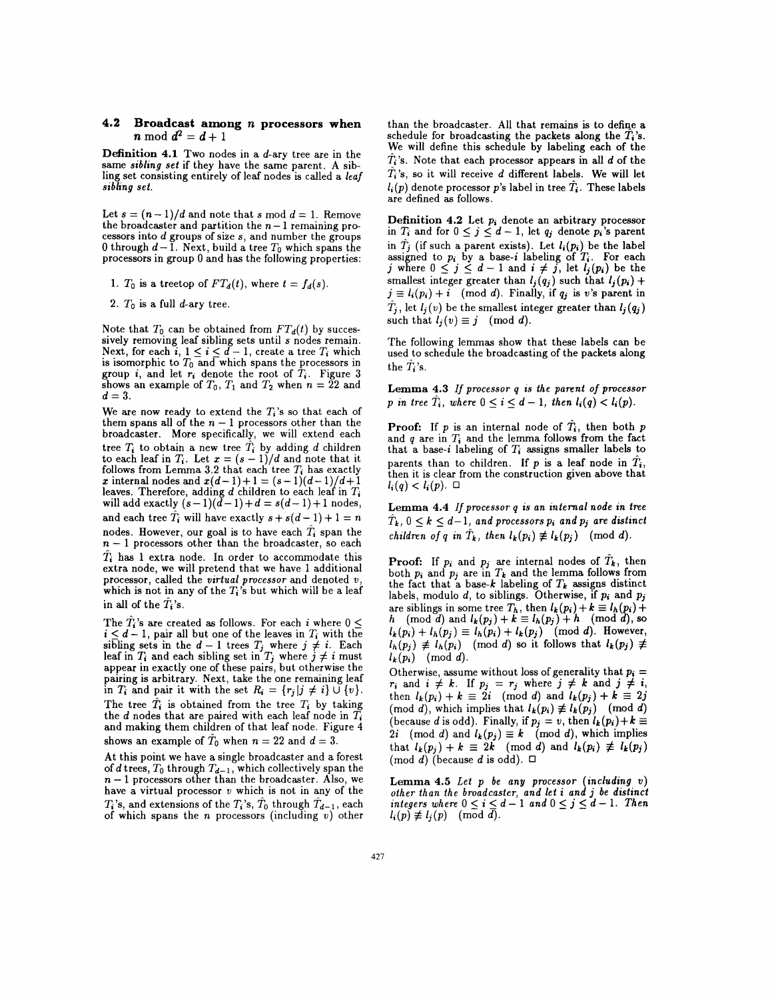#### 4.2 Broadcast among *n* processors when *n* mod  $d^2 = d + 1$

Definition 4.1 Two nodes in <sup>a</sup> d-ary tree are in the same *sibling set* if they have the same parent. <sup>A</sup> sibling set consisting entirely of leaf nodes is called a *leaf sibling set.*

Let  $s = (n-1)/d$  and note that *s* mod  $d = 1$ . Remove the broadcaster and partition the  $n-1$  remaining processors into *d* groups of size *s*, and number the groups 0 through  $d - \tilde{1}$ . Next, build a tree  $T_0$  which spans the processors in group 0 and has the following properties:

- 1.  $T_0$  is a treetop of  $FT_d(t)$ , where  $t = f_d(s)$ .
- 2.  $T_0$  is a full *d*-ary tree.

Note that  $T_0$  can be obtained from  $FT_d(t)$  by successively removing leaf sibling sets until *s* nodes remain. Next, for each  $i, \, 1 \leq i \leq d - 1,$  create a tree  $T_i$  which is isomorphic to  $T_0$  and which spans the processors in group *i*, and let  $r_i$  denote the root of  $\tilde{T}_i$ . Figure 3 shows an example of  $T_0$ ,  $T_1$  and  $T_2$  when  $n = 22$  and *d= 3.*

We are now ready to extend the *Ii's* so that each of them spans all of the  $n-1$  processors other than the broadcaster. More specifically, we will extend each tree  $T_i$  to obtain a new tree  $\tilde{T}_i$  by adding d children to each leaf in  $T_i$ . Let  $x = (s - 1)/d$  and note that it follows from Lemma 3.2 that each tree  $T_i$  has exactly *x* internal nodes and  $x(d-1)+1 = (s-1)(d-1)/d+1$ leaves. Therefore, adding *d* children to each leaf in  $T_i$ <br>will add exactly  $(s-1)(d-1)+d = s(d-1)+1$  nodes, and each tree  $T_i$  will have exactly  $s + s(d-1) + 1 = n$ nodes. However, our goal is to have each  $T_i$  span the  $n-1$  processors other than the broadcaster, so each  $\hat{T}$  has 1 extra node. In order to accommodate this extra node, we will pretend that we have 1 additional processor, called the *virtual processor* and denoted *v,* which is not in any of the  $T_i$ 's but which will be a leaf in all of the  $\ddot{T}_i$ 's.

The  $T_i$ 's are created as follows. For each i where  $0 \leq$  $i \leq d-1$ , pair all but one of the leaves in  $T_i$  with the sibling sets in the  $d-1$  trees  $T_j$  where  $j \neq i$ . Each leaf in  $T_i$  and each sibling set in  $T_j$  where  $j \neq i$  must appear in exactly one of these pairs, but otherwise the pairing is arbitrary. Next, take the one remaining leaf<br>in  $T_i$  and pair it with the set  $R_i = \{r_j | j \neq i\} \cup \{v\}.$ The tree  $\hat{T}_i$  is obtained from the tree  $T_i$  by taking the *d* nodes that are paired with each leaf node in  $T_i$ and making them children of that leaf node. Figure 4 shows an example of  $T_0$  when  $n = 22$  and  $d = 3$ .

At this point we have a single broadcaster and a forest of *d* trees,  $T_0$  through  $T_{d-1}$ , which collectively span the  $n-1$  processors other than the broadcaster. Also, we have a virtual processor *v* which is not in any of the  $T_i$ 's, and extensions of the  $T_i$ 's,  $\hat{T}_0$  through  $\hat{T}_{d-1}$ , each of which spans the *n* processors (mcludmg *v)* other than the broadcaster. All that remains is to define a schedule for broadcasting the packets along the  $\hat{T}_i$ 's. We will define this schedule by labeling each of the  $T<sub>i</sub>$ 's. Note that each processor appears in all d of the  $T_i$ 's, so it will receive d different labels. We will let  $l_i(p)$  denote processor *p*'s label in tree  $\hat{T}_i$ . These labels are defined as follows.

Definition 4.2 Let  $p_i$  denote an arbitrary processor in  $T_i$  and for  $0 \leq j \leq d - 1$ , let  $q_j$  denote  $p_i$ 's parent in  $\hat{T}_j$  (if such a parent exists). Let  $l_i(p_i)$  be the label assigned to  $p_i$  by a base-*i* labeling of  $T_i$ . For each *j* where  $0 \le j \le d - 1$  and  $i \ne j$ , let  $l_j(p_i)$  be the smallest integer greater than  $l_j(q_j)$  such that  $l_j(p_i)$  +  $j \equiv l_i(p_i) + i \pmod{d}$ . Finally, if  $q_j$  is *v*'s parent in  $\hat{T}_j$ , let  $I_j(v)$  be the smallest integer greater than  $I_j(q_j)$ such that  $l_i(v) \equiv j \pmod{d}$ .

The following lemmas show that these labels can be used to schedule the broadcasting of the packets along the  $T_i$ 's.

Lemma 4.3 *If processor q is the parent of processor p* in tree  $\hat{T}_i$ , where  $0 \le i \le d-1$ , then  $l_i(q) < l_i(p)$ .

**Proof:** If *p* is an internal node of  $\hat{T}_i$ , then both *p* and  $q$  are in  $T_i$  and the lemma follows from the fact that a base-i labeling of *Ii* assigns smaller labels to parents than to children. If *p* is a leaf node in  $T_i$ , then it is clear from the construction given above that  $l_i(q) < l_i(p)$ .  $\Box$ 

Lemma 4.4 *If processor q is an internal node* in *tree*  $\hat{T}_k$ ,  $0 \leq k \leq d-1$ , and processors  $p_i$  and  $p_j$  are distinct *children of q in*  $\hat{T}_k$ *, then*  $l_k(p_i) \neq l_k(p_j) \pmod{d}$ .

**Proof:** If  $p_i$  and  $p_j$  are internal nodes of  $T_k$ , then both  $p_i$  and  $p_j$  are in  $T_k$  and the lemma follows from the fact that a base-k labeling of  $T_k$  assigns distinct labels, modulo d, to siblings. Otherwise, if  $p_i$  and  $p_j$ are siblings in some tree  $T_h$ , then  $l_k(p_i) + k \equiv l_h(p_j) + h \pmod{d}$ , so  $l_k(p_i) + l_h(p_j) \equiv l_h(p_i) + l_k(p_j)$  (mod *d*). However,  $l_h(p_j) \neq l_h(p_i)$  (mod *d*) so it follows that  $l_k(p_j) \neq$  $l_k(p_i) \pmod{d}$ .

Otherwise, assume without loss of generality that  $p_i = r_i$  and  $i \neq k$ . If  $p_j = r_j$  where  $j \neq k$  and  $j \neq i$ . then  $l_k(p_i) + k \equiv 2i \pmod{d}$  and  $l_k(p_j) + k \equiv 2j$  $(\text{mod } d)$ , which implies that  $l_k(p_i) \neq l_k(p_j) \pmod{d}$ (because *d* is odd). Finally, if  $p_j = v$ , then  $l_k(p_i) + k =$ 2*i* (mod *d*) and  $l_k(p_j) \equiv k \pmod{d}$ , which implies that  $l_k(p_j) + k \equiv 2k \pmod{d}$  and  $l_k(p_i) \not\equiv l_k(p_j)$ (mod d) (because d is odd).  $\Box$ 

Lemma 4.5 *Let P be any processor (including v) other than the broadcaster, and let i a.nd* j *be distinct*  $integers \ where \ 0 \leq i \leq d-1 \ \ and \ 0 \leq j \leq d-1. \ \ Then$  $l_i(p) \not\equiv l_j(p) \pmod{d}$ .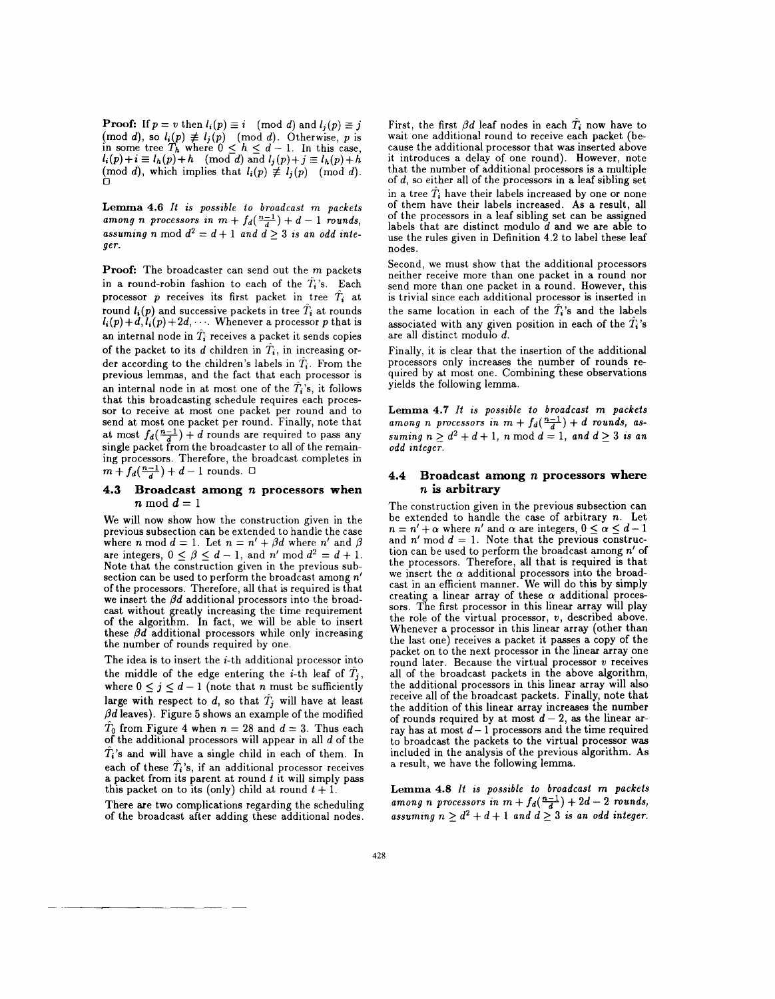**Proof:** If  $p = v$  then  $l_i(p) \equiv i \pmod{d}$  and  $l_j(p) \equiv j$ (mod *d*), so  $l_i(p) \neq l_j(p) \pmod{d}$ . Otherwise, p is in some tree  $T_h$  where  $0 \leq h \leq d-1$ . In this case,  $l_i(p)+i\equiv l_h(p)+h \pmod{d} \text{ and } l_j(p)+j\equiv l_h(p)+h$  $p(\text{mod } d)$ , which implies that  $l_i(p) \not\equiv l_j(p) \pmod{d}$ .

**Lenuna 4.6** *It is possible to broadcast* m *packets among n* processors in  $m + f_d(\frac{n-1}{d}) + d - 1$  *rounds,* assuming *n* mod  $d^2 = d + 1$  and  $d \geq 3$  *is an odd integer.*

**Proof:** The broadcaster can send out the m packets in a round-robin fashion to each of the  $T_i$ 's. Each processor p receives its first packet in tree  $\hat{T}$ , at  $l_i(p)$  and successive packets in tree  $T_i$  at rounds  $l_i(p) + d$ ,  $l_i(p) + 2d$ ,  $\dots$  Whenever a processor  $p$  that is an internal node in  $\hat{T}_i$  receives a packet it sends copies of the packet to its d children in  $T_i$ , in increasing order according to the children's labels in  $\hat{T}$ . From the previous lemmas, and the fact that each processor is an internal node in at most one of the  $\hat{T}_i$ 's, it follows that this broadcasting schedule requires each processor to receive at most one packet per round and to send at most one packet per round. Finally, note that at most  $f_d(\frac{n-1}{d}) + d$  rounds are required to pass any single packet from the broadcaster to all of the remaining processors. Therefore, the broadcast completes in  $m + f_d(\frac{n-1}{d}) + d - 1$  rounds.  $\Box$ 

#### **4.3 Broadcast among** *n* **processors when**  $n \mod d = 1$

We will now show how the construction given in the previous subsection can be extended to handle the case where *n* mod  $d = 1$ . Let  $n = n' + \beta d$  where *n'* and  $\beta$ are integers,  $0 \le \beta \le d - 1$ , and  $n' \text{ mod } d^2 = d + 1$ . Note that the construction given in the previous subsection can be used to perform the broadcast among *n'* of the processors. Therefore, all that is required is that we insert the  $\beta d$  additional processors into the broadcast without greatly increasing the time requirement of the algorithm. **In** fact, we will be able to insert these  $\beta d$  additional processors while only increasing the number of rounds required by one.

The idea is to insert the *i*-th additional processor into the middle of the edge entering the *i*-th leaf of  $\hat{T}_i$ , where  $0 \leq j \leq d - 1$  (note that *n* must be sufficiently large with respect to  $d$ , so that  $\hat{T}_i$  will have at least  $\beta d$  leaves). Figure 5 shows an example of the modified  $\hat{T}_0$  from Figure 4 when  $n = 28$  and  $d = 3$ . Thus each of the additional processors will appear in all d of the  $T_i$ 's and will have a single child in each of them. In each of these  $\hat{T}_i$ 's, if an additional processor receives a packet from its parent at round *t* it will simply pass this packet on to its (only) child at round  $t + 1$ .

There are two complications regarding the scheduling of the broadcast after adding these additional nodes. First, the first  $\beta d$  leaf nodes in each  $\hat{T}_i$  now have to wait one additional round to receive each packet (because the additional processor that was inserted above it introduces a delay of one round). However, note that the number of additional processors is a multiple of d, so either all of the processors in a leaf sibling set in a tree  $\hat{T}_i$  have their labels increased by one or none of them have their labels increased. As a result, all of the processors in a leaf sibling set can be assigned labels that are distinct modulo  $\overrightarrow{d}$  and we are able to use the rules given in Definition 4.2 to label these leaf nodes.

Second, we must show that the additional processors neither receive more than one packet in a round nor send more than one packet in a round. However, this is trivial since each additional processor is inserted in the same location in each of the  $\hat{T}_i$ 's and the labels associated with any given position in each of the  $\ddot{T}_i$ 's are all distinct modulo *d.*

Finally, it is clear that the insertion of the additional processors only increases the number of rounds required by at most one. Combining these observations yields the following lemma.

**Lemma 4.7** It *is possible to broadcast* m *packets among n* processors in  $m + f_d(\frac{n-1}{d}) + d$  rounds, as*suming*  $n > d^2 + d + 1$ , *n* mod  $d = 1$ , and  $d > 3$  *is an odd integer.*

### **4.4 Broadcast among** *n* **processors where** *n* **is arbitrary**

The construction given in the previous subsection can be extended to handle the case of arbitrary *n.* Let  $n = n' + \alpha$  where *n'* and  $\alpha$  are integers,  $0 \le \alpha \le d - 1$ and  $n'$  mod  $d = 1$ . Note that the previous construction can be used to perform the broadcast among *n'* of the processors. Therefore, all that is required is that we insert the  $\alpha$  additional processors into the broadcast in an efficient manner. We will do this by simply creating a linear array of these  $\alpha$  additional processors. The first processor in this linear array will play the role of the virtual processor, *v,* described above. Whenever a processor in this linear array (other than the last one) receives a packet it passes a copy of the packet on to the next processor in the linear array one round later. Because the virtual processor *v* receives all of the broadcast packets in the above algorithm, the additional processors in this linear array will also receive all of the broadcast packets. Finally, note that the addition of this linear array increases the number of rounds required by at most  $d-2$ , as the linear array has at most  $d-1$  processors and the time required to broadcast the packets to the virtual processor was included in the analysis of the previous algorithm. As a result, we have the following lemma.

**Lemma 4.8** It *is possible to broadcast* m *packets among n* processors in  $m + f_d(\frac{n-1}{d}) + 2d - 2$  rounds, assuming  $n \geq d^2 + d + 1$  and  $d \geq 3$  is an odd integer.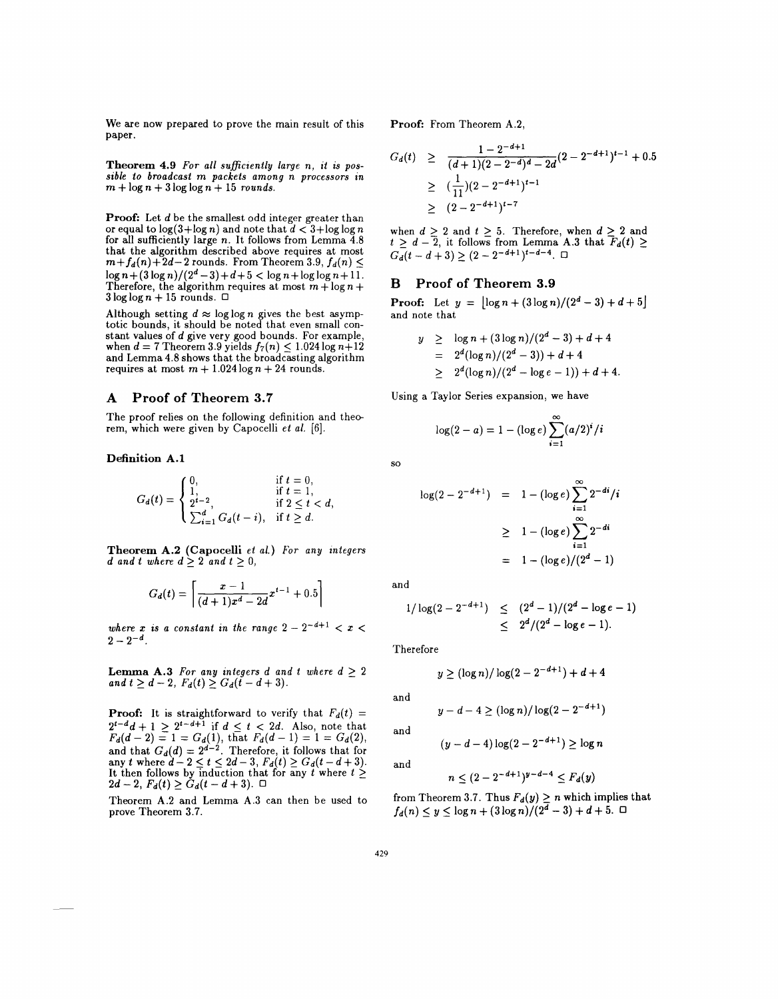We are now prepared to prove the main result of this paper.

**Theorem 4.9** *For all sufficiently large n, it is possible to broadcast* m *packets among n processors in*  $m + \log n + 3 \log \log n + 15$  *rounds.* 

Proof: Let d be the smallest odd integer greater than or equal to  $\log(3 + \log n)$  and note that  $d < 3 + \log \log n$  for all sufficiently large *n*. It follows from Lemma 4.8 that the algorithm described above requires at most  $m+f_d(n)+2d-2$  rounds. From Theorem 3.9,  $f_d(n) \leq$  $\log n + (3 \log n)/(2^d-3) + d+5 < \log n + \log \log n + 11$ . Therefore, the algorithm requires at most  $m + \log n +$  $3 \log \log n + 15$  rounds.  $\Box$ 

Although setting  $d \approx \log \log n$  gives the best asymptotic bounds, it should be noted that even small constant values of d give very good bounds. For example, when  $d = 7$  Theorem 3.9 yields  $f_7(n) \le 1.024 \log n + 12$ and Lemma 4.8 shows that the broadcasting algorithm requires at most  $m + 1.024 \log n + 24$  rounds.

# **A Proof of Theorem 3.7**

The proof relies on the following definition and theorem, which were given by Capocelli *et al.* [6].

### **Definition A.I**

$$
G_d(t) = \begin{cases} 0, & \text{if } t = 0, \\ 1, & \text{if } t = 1, \\ 2^{t-2}, & \text{if } 2 \le t < d, \\ \sum_{i=1}^d G_d(t-i), & \text{if } t \ge d. \end{cases}
$$

**Theorem A.2** (Capocelli *et al.) For any integers d* and *t* where  $d > 2$  and  $t \geq 0$ ,

$$
G_d(t) = \left[ \frac{x-1}{(d+1)x^d - 2d} x^{t-1} + 0.5 \right]
$$

*where*  $x$  *is*  $a$  *constant in the range*  $2 - 2^{-d+1} < x <$  $2 - 2^{-d}$ .

**Lemma A.3** For any integers  $d$  and  $t$  where  $d \geq 2$ *and*  $t \geq d - 2$ ,  $F_d(t) \geq G_d(t - d + 3)$ .

**Proof:** It is straightforward to verify that  $F_d(t) = 2^{t-d}d + 1 \ge 2^{t-d+1}$  if  $d \le t < 2d$ . Also, note that  $F_d(d-2) = 1 = G_d(1)$ , that  $F_d(d-1) = 1 = G_d(2)$ , and that  $G_d(d) = 2^{d-2}$ . Therefore, it follows that for any  $t$  where  $d-2 \leq t \leq 2d-3,$   $F_d(t) \geq G_d(t-d+3).$ It then follows by induction that for any *t* where *t*  $2d - 2$ ,  $F_d(t) \ge G_d(t - d + 3)$ .  $\Box$ 

Theorem A.2 and Lemma A.3 can then be used to prove Theorem 3.7.

**Proof:** From Theorem A.2,

$$
G_d(t) \geq \frac{1 - 2^{-d+1}}{(d+1)(2 - 2^{-d})^d - 2d} (2 - 2^{-d+1})^{t-1} + 0.5
$$
  
 
$$
\geq \frac{1}{11} (2 - 2^{-d+1})^{t-1}
$$
  
 
$$
\geq (2 - 2^{-d+1})^{t-7}
$$

when  $d \geq 2$  and  $t \geq 5$ . Therefore, when  $d \geq 2$  and  $t \geq d - 2$ , it follows from Lemma A.3 that  $F_d(t)$  $G_d(t-d+3) \geq (2 - 2^{-d+1})^{t-d-4}$ . 0

## **B Proof of Theorem 3.9**

**Proof:** Let  $y = \lfloor \log n + (3\log n)/(2^d - 3) + d + 5 \rfloor$ and note that

$$
y \ge \log n + (3\log n)/(2^d - 3) + d + 4
$$
  
=  $2^d (\log n)/(2^d - 3)) + d + 4$   

$$
\ge 2^d (\log n)/(2^d - \log e - 1)) + d + 4.
$$

Using a Taylor Series expansion, we have

$$
\log(2 - a) = 1 - (\log e) \sum_{i=1}^{\infty} (a/2)^i / i
$$

$$
\mathbf{s}\mathbf{o}
$$

$$
\log(2 - 2^{-d+1}) = 1 - (\log e) \sum_{i=1}^{\infty} 2^{-di} / i
$$
  
\n
$$
\geq 1 - (\log e) \sum_{i=1}^{\infty} 2^{-di}
$$
  
\n
$$
= 1 - (\log e) / (2^d - 1)
$$

and

$$
1/\log(2 - 2^{-d+1}) \le (2^d - 1)/(2^d - \log e - 1)
$$
  
 
$$
\le 2^d/(2^d - \log e - 1).
$$

Therefore

$$
y \ge (\log n)/\log(2 - 2^{-d+1}) + d + 4
$$

 $y - d - 4 \ge (\log n)/\log(2 - 2^{-d+1})$ 

and

$$
f_{\rm{max}}
$$

and

$$
(y-d-4)\log(2-2^{-d+1}) \geq \log n
$$

and

$$
n \le (2 - 2^{-d+1})^{y-d-4} \le F_d(y)
$$

from Theorem 3.7. Thus  $F_d(y) \ge n$  which implies that  $f_d(n) \leq y \leq \log n + (3\log n)/(2^d - 3) + d + 5$ .  $\Box$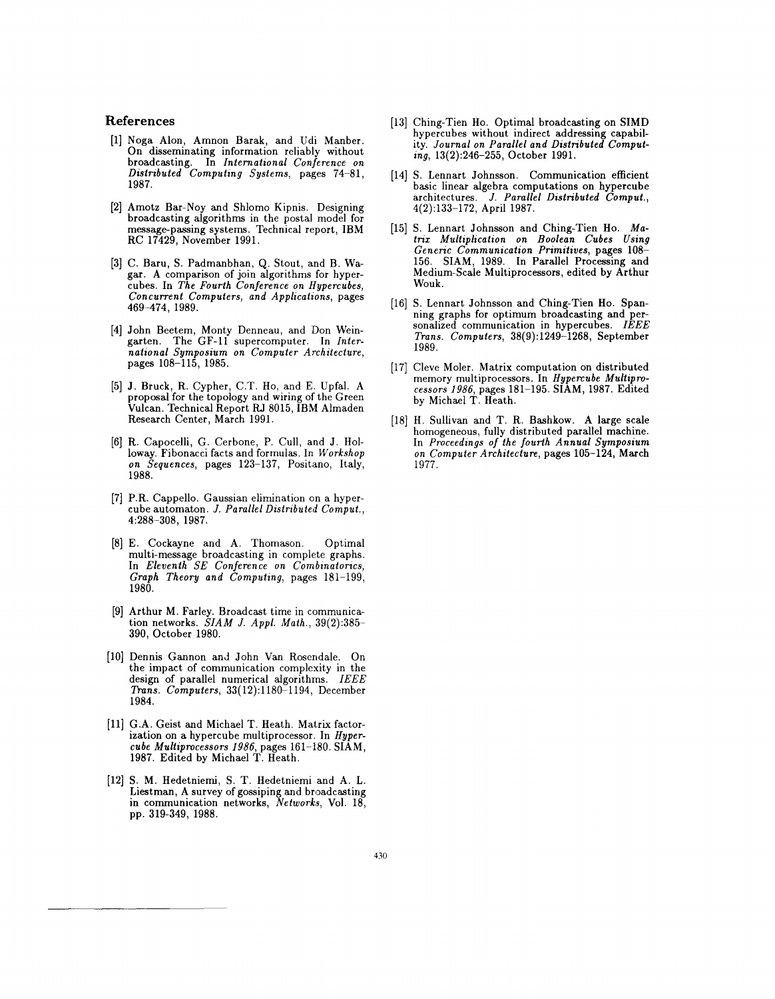# **References**

- [1] Noga Alon, Amnon Barak, and Udi Manber. On disseminating information reliably without broadcasting. In *International Conference on Distributed Computing Systems,* pages 74-81, 1987.
- [2] Amotz Bar-Noy and Shlomo Kipnis. Designing broadcasting algorithms in the postal model for message-passing systems. Technical report, IBM RC 17429, November 1991.
- [3] C. Baru, S. Padmanbhan, Q. Stout, and B. Wagar. A comparison of join algorithms for hypercubes. In *The Fourth Conference on Hypercubes, Concurrent Computers, and Applications,* pages 469-474, 1989.
- [4] John Beetem, Monty Denneau, and Don Weingarten. The GF-11 supercomputer. In *International Symposium on Computer Architecture,* pages 108-115, 1985.
- [5] J. Bruck, R. Cypher, C.T. Ho, and E. Upfal. A proposal for the topology and wiring of the Green Vulcan. Technical Report RJ 8015, IBM Almaden Research Center, March 1991.
- [6] R. Capocelli, G. Cerbone, P. Cull, and J. Holloway. Fibonacci facts and formulas. In *Workshop on Sequences,* pages 123-137, Positano, Italy, 1988.
- [7] P.R. Cappello. Gaussian elimination on a hypercube automaton. J. *Parallel Distributed Comput.,* 4:288-308, 1987.
- [8] E. Cockayne and A. Thomason. Optimal multi-message broadcasting in complete graphs. In *Eleventh SE Conference on Combinatorics, Graph Theory and Computing,* pages 181-199, 1980.
- [9] Arthur M. Farley. Broadcast time in communication networks. *SIAM* J. *Appl. Math., 39(2):385-* 390, October 1980.
- [10] Dennis Gannon and John Van Rosendale. On the impact of communication complexity in the design of parallel numerical algorithms. *IEEE Trans. Computers,* 33(12):1180-1194, December 1984.
- [11] G.A. Geist and Michael T. Heath. Matrix factorization on a hypercube multiprocessor. In *Hypercube Multiprocessors* 1986, pages 161-180. SIAM, 1987. Edited by Michael T. Heath.
- [12] S. M. Hedetniemi, S. T. Hedetniemi and A. L. Liestman, A survey of gossiping and broadcasting in communication networks, *Networks,* Vol. 18, pp. 319-349, 1988.
- [13] Ching-Tien Ho. Optimal broadcasting on SIMD hypercubes without indirect addressing capability. *Journal on Parallel and Distributed Computing,* 13(2):246-255, October 1991.
- [14] S. Lennart Johnsson. Communication efficient basic linear algebra computations on hypercube architectures. J. *Parallel Distributed Comput.,* 4(2):133-172, April 1987.
- [15] S. Lennart Johnsson and Ching-Tien Ho. Ma*trix Multiplication on Boolean Cubes Using Generic Communication Primitives,* pages 108- 156. SIAM, 1989. In Parallel Processing and Medium-Scale Multiprocessors, edited by Arthur Wouk.
- [16] S. Lennart Johnsson and Ching-Tien Ho. Spanning graphs for optimum broadcasting and personalized communication in hypercubes. *IEEE Trans. Computers,* 38(9):1249-1268, September 1989.
- [17] Cleve Moler. Matrix computation on distributed memory multiprocessors. In *Hypercube Multiprocessors* 1986, pages 181-195. SIAM, 1987. Edited by Michael T. Heath.
- [18] H. Sullivan and T. R. Bashkow. A large scale homogeneous, fully distributed parallel machine. In *Proceedings of the fourth Annual Symposium on Computer Architecture,* pages 105-124, March 1977.